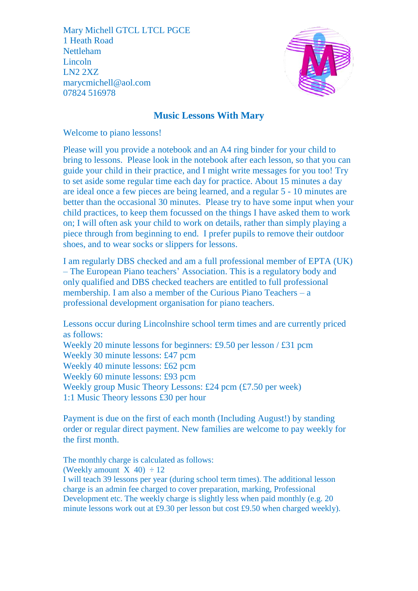Mary Michell GTCL LTCL PGCE 1 Heath Road Nettleham Lincoln LN2 2XZ marycmichell@aol.com 07824 516978



## **Music Lessons With Mary**

Welcome to piano lessons!

Please will you provide a notebook and an A4 ring binder for your child to bring to lessons. Please look in the notebook after each lesson, so that you can guide your child in their practice, and I might write messages for you too! Try to set aside some regular time each day for practice. About 15 minutes a day are ideal once a few pieces are being learned, and a regular 5 - 10 minutes are better than the occasional 30 minutes. Please try to have some input when your child practices, to keep them focussed on the things I have asked them to work on; I will often ask your child to work on details, rather than simply playing a piece through from beginning to end. I prefer pupils to remove their outdoor shoes, and to wear socks or slippers for lessons.

I am regularly DBS checked and am a full professional member of EPTA (UK) – The European Piano teachers' Association. This is a regulatory body and only qualified and DBS checked teachers are entitled to full professional membership. I am also a member of the Curious Piano Teachers – a professional development organisation for piano teachers.

Lessons occur during Lincolnshire school term times and are currently priced as follows: Weekly 20 minute lessons for beginners: £9.50 per lesson / £31 pcm Weekly 30 minute lessons: £47 pcm Weekly 40 minute lessons: £62 pcm Weekly 60 minute lessons: £93 pcm Weekly group Music Theory Lessons: £24 pcm (£7.50 per week) 1:1 Music Theory lessons £30 per hour

Payment is due on the first of each month (Including August!) by standing order or regular direct payment. New families are welcome to pay weekly for the first month.

The monthly charge is calculated as follows:

(Weekly amount  $X$  40)  $\div$  12

I will teach 39 lessons per year (during school term times). The additional lesson charge is an admin fee charged to cover preparation, marking, Professional Development etc. The weekly charge is slightly less when paid monthly (e.g. 20 minute lessons work out at £9.30 per lesson but cost £9.50 when charged weekly).